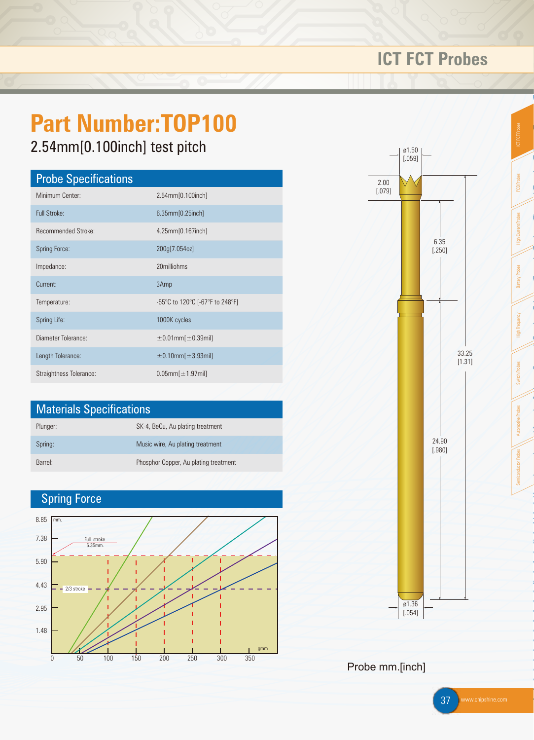

### Probe mm.[inch]

37 www.chipshine.com

# **ICT FCT Probes**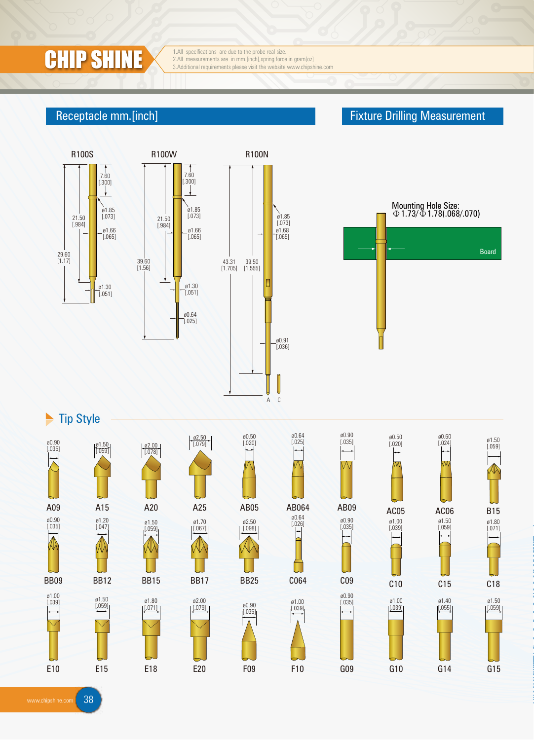

1.All specifications are due to the probe real size.<br>2.All measurements are in mm.[inch], spring force in gram[oz] **CHIP SHINE** 3.All measurements are due to the probe real size.<br>3.Additional requirements please visit the website www.chipshine.com

R100W

21.50 [.984]

 $\downarrow$ 

39.60 [1.56]

### Receptacle mm.[inch] **Fixture Drilling Measurement** Receptacle mm.[inch]







 $\blacktriangleright$  Tip Style



www.chipshine.com 38